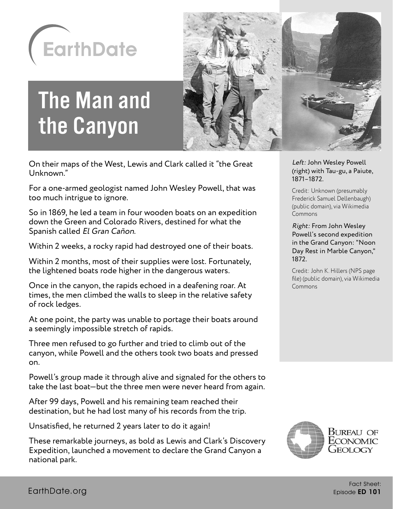

# The Man and the Canyon



On their maps of the West, Lewis and Clark called it "the Great Unknown."

For a one-armed geologist named John Wesley Powell, that was too much intrigue to ignore.

So in 1869, he led a team in four wooden boats on an expedition down the Green and Colorado Rivers, destined for what the Spanish called El Gran Cañon.

Within 2 weeks, a rocky rapid had destroyed one of their boats.

Within 2 months, most of their supplies were lost. Fortunately, the lightened boats rode higher in the dangerous waters.

Once in the canyon, the rapids echoed in a deafening roar. At times, the men climbed the walls to sleep in the relative safety of rock ledges.

At one point, the party was unable to portage their boats around a seemingly impossible stretch of rapids.

Three men refused to go further and tried to climb out of the canyon, while Powell and the others took two boats and pressed on.

Powell's group made it through alive and signaled for the others to take the last boat—but the three men were never heard from again.

After 99 days, Powell and his remaining team reached their destination, but he had lost many of his records from the trip.

Unsatisfied, he returned 2 years later to do it again!

These remarkable journeys, as bold as Lewis and Clark's Discovery Expedition, launched a movement to declare the Grand Canyon a national park.

Left: John Wesley Powell (right) with Tau-gu, a Paiute, 1871–1872.

Credit: Unknown (presumably Frederick Samuel Dellenbaugh) (public domain), via Wikimedia Commons

Right: From John Wesley Powell's second expedition in the Grand Canyon: "Noon Day Rest in Marble Canyon," 1872.

Credit: John K. Hillers (NPS page file) (public domain), via Wikimedia Commons

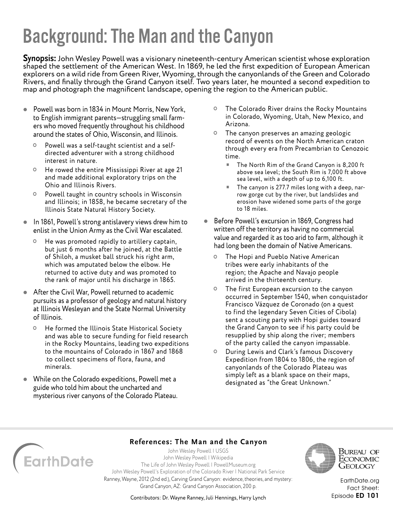**Synopsis:** John Wesley Powell was a visionary nineteenth-century American scientist whose exploration shaped the settlement of the American West. In 1869, he led the first expedition of European American explorers on a wild ride from Green River, Wyoming, through the canyonlands of the Green and Colorado Rivers, and finally through the Grand Canyon itself. Two years later, he mounted a second expedition to map and photograph the magnificent landscape, opening the region to the American public.

- Powell was born in 1834 in Mount Morris, New York, to English immigrant parents—struggling small farmers who moved frequently throughout his childhood around the states of Ohio, Wisconsin, and Illinois.
	- Powell was a self-taught scientist and a selfdirected adventurer with a strong childhood interest in nature.
	- He rowed the entire Mississippi River at age 21 and made additional exploratory trips on the Ohio and Illinois Rivers.
	- Powell taught in country schools in Wisconsin and Illinois; in 1858, he became secretary of the Illinois State Natural History Society.
- In 1861, Powell's strong antislavery views drew him to enlist in the Union Army as the Civil War escalated.
	- He was promoted rapidly to artillery captain, but just 6 months after he joined, at the Battle of Shiloh, a musket ball struck his right arm, which was amputated below the elbow. He returned to active duty and was promoted to the rank of major until his discharge in 1865.
- After the Civil War, Powell returned to academic pursuits as a professor of geology and natural history at Illinois Wesleyan and the State Normal University of Illinois.
	- He formed the Illinois State Historical Society and was able to secure funding for field research in the Rocky Mountains, leading two expeditions to the mountains of Colorado in 1867 and 1868 to collect specimens of flora, fauna, and minerals.
- While on the Colorado expeditions, Powell met a guide who told him about the uncharted and mysterious river canyons of the Colorado Plateau.
- The Colorado River drains the Rocky Mountains in Colorado, Wyoming, Utah, New Mexico, and Arizona.
- The canyon preserves an amazing geologic record of events on the North American craton through every era from Precambrian to Cenozoic time.
	- The North Rim of the Grand Canyon is 8,200 ft above sea level; the South Rim is 7,000 ft above sea level, with a depth of up to 6,100 ft.
	- The canyon is 277.7 miles long with a deep, narrow gorge cut by the river, but landslides and erosion have widened some parts of the gorge to 18 miles.
- Before Powell's excursion in 1869, Congress had written off the territory as having no commercial value and regarded it as too arid to farm, although it had long been the domain of Native Americans.
	- The Hopi and Pueblo Native American tribes were early inhabitants of the region; the Apache and Navajo people arrived in the thirteenth century.
	- The first European excursion to the canyon occurred in September 1540, when conquistador Francisco Vázquez de Coronado (on a quest to find the legendary Seven Cities of Cibola) sent a scouting party with Hopi guides toward the Grand Canyon to see if his party could be resupplied by ship along the river; members of the party called the canyon impassable.
	- During Lewis and Clark's famous Discovery Expedition from 1804 to 1806, the region of canyonlands of the Colorado Plateau was simply left as a blank space on their maps, designated as "the Great Unknown."



### **References: The Man and the Canyon**

[John Wesley Powell | USGS](https://www.usgs.gov/staff-profiles/john-wesley-powell) [John Wesley Powell | Wikipedia](https://en.wikipedia.org/wiki/John_Wesley_Powell) [The Life of John Wesley Powell | PowellMuseum.org](http://www.powellmuseum.org/museum_powell.php) [John Wesley Powell's Exploration of the Colorado River | National Park Service](https://www.nps.gov/parkhistory/online_books/geology/publications/inf/powell/index.htm) Ranney, Wayne, 2012 (2nd ed.), Carving Grand Canyon: evidence, theories, and mystery: Grand Canyon, AZ: Grand Canyon Association, 200 p.



Bureau of ECONOMIC Geology

[EarthDate.org](http://www.earthdate.org) Fact Sheet: Episode ED 101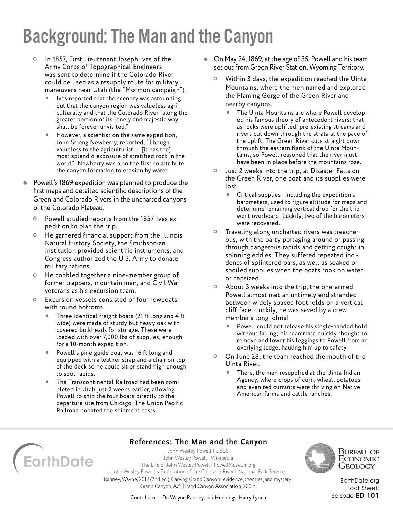- In 1857, First Lieutenant Joseph Ives of the Army Corps of Topographical Engineers was sent to determine if the Colorado River could be used as a resupply route for military maneuvers near Utah (the "Mormon campaign").
	- Ives reported that the scenery was astounding but that the canyon region was valueless agriculturally and that the Colorado River "along the greater portion of its lonely and majestic way, shall be forever unvisited."
	- $\blacksquare$  However, a scientist on the same expedition, John Strong Newberry, reported, "Though valueless to the agriculturist … [it has the] most splendid exposure of stratified rock in the world"; Newberry was also the first to attribute the canyon formation to erosion by water.
- Powell's 1869 expedition was planned to produce the first maps and detailed scientific descriptions of the Green and Colorado Rivers in the uncharted canyons of the Colorado Plateau.
	- Powell studied reports from the 1857 Ives expedition to plan the trip.
	- He garnered financial support from the Illinois Natural History Society, the Smithsonian Institution provided scientific instruments, and Congress authorized the U.S. Army to donate military rations.
	- He cobbled together a nine-member group of former trappers, mountain men, and Civil War veterans as his excursion team.
	- Excursion vessels consisted of four rowboats with round bottoms.
		- Three identical freight boats (21 ft long and 4 ft wide) were made of sturdy but heavy oak with covered bulkheads for storage. These were loaded with over 7,000 lbs of supplies, enough for a 10-month expedition.
		- $\blacksquare$  Powell's pine guide boat was 16 ft long and equipped with a leather strap and a chair on top of the deck so he could sit or stand high enough to spot rapids.
		- The Transcontinental Railroad had been completed in Utah just 2 weeks earlier, allowing Powell to ship the four boats directly to the departure site from Chicago. The Union Pacific Railroad donated the shipment costs.
- On May 24, 1869, at the age of 35, Powell and his team set out from Green River Station, Wyoming Territory.
	- Within 3 days, the expedition reached the Uinta Mountains, where the men named and explored the Flaming Gorge of the Green River and nearby canyons.
		- The Uinta Mountains are where Powell developed his famous theory of antecedent rivers: that as rocks were uplifted, pre-existing streams and rivers cut down through the strata at the pace of the uplift. The Green River cuts straight down through the eastern flank of the Uinta Mountains, so Powell reasoned that the river must have been in place before the mountains rose.
	- Just 2 weeks into the trip, at Disaster Falls on the Green River, one boat and its supplies were lost.
		- Critical supplies—including the expedition's barometers, used to figure altitude for maps and determine remaining vertical drop for the trip went overboard. Luckily, two of the barometers were recovered.
	- Traveling along uncharted rivers was treacherous, with the party portaging around or passing through dangerous rapids and getting caught in spinning eddies. They suffered repeated incidents of splintered oars, as well as soaked or spoiled supplies when the boats took on water or capsized.
	- About 3 weeks into the trip, the one-armed Powell almost met an untimely end stranded between widely spaced footholds on a vertical cliff face—luckily, he was saved by a crew member's long johns!
		- Powell could not release his single-handed hold without falling; his teammate quickly thought to remove and lower his leggings to Powell from an overlying ledge, hauling him up to safety.
	- On June 28, the team reached the mouth of the Uinta River.
		- There, the men resupplied at the Uinta Indian Agency, where crops of corn, wheat, potatoes, and even red currants were thriving on Native American farms and cattle ranches.

# EarthDate

**References: The Man and the Canyon** [John Wesley Powell | USGS](https://www.usgs.gov/staff-profiles/john-wesley-powell)

[John Wesley Powell | Wikipedia](https://en.wikipedia.org/wiki/John_Wesley_Powell) [The Life of John Wesley Powell | PowellMuseum.org](http://www.powellmuseum.org/museum_powell.php) [John Wesley Powell's Exploration of the Colorado River | National Park Service](https://www.nps.gov/parkhistory/online_books/geology/publications/inf/powell/index.htm) Ranney, Wayne, 2012 (2nd ed.), Carving Grand Canyon: evidence, theories, and mystery: Grand Canyon, AZ: Grand Canyon Association, 200 p.



Bureau of ECONOMIC Geology

[EarthDate.org](http://www.earthdate.org) Fact Sheet: Episode ED 101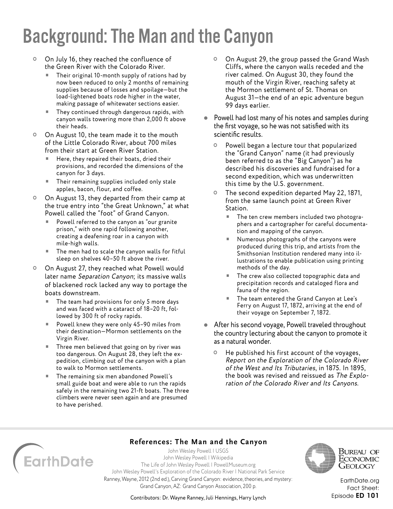- On July 16, they reached the confluence of the Green River with the Colorado River.
	- Their original 10-month supply of rations had by now been reduced to only 2 months of remaining supplies because of losses and spoilage—but the load-lightened boats rode higher in the water, making passage of whitewater sections easier.
	- They continued through dangerous rapids, with canyon walls towering more than 2,000 ft above their heads.
- On August 10, the team made it to the mouth of the Little Colorado River, about 700 miles from their start at Green River Station.
	- Here, they repaired their boats, dried their provisions, and recorded the dimensions of the canyon for 3 days.
	- Their remaining supplies included only stale apples, bacon, flour, and coffee.
- On August 13, they departed from their camp at the true entry into "the Great Unknown," at what Powell called the "foot" of Grand Canyon.
	- Powell referred to the canyon as "our granite prison," with one rapid following another, creating a deafening roar in a canyon with mile-high walls.
	- The men had to scale the canyon walls for fitful sleep on shelves 40–50 ft above the river.
- On August 27, they reached what Powell would later name Separation Canyon; its massive walls of blackened rock lacked any way to portage the boats downstream.
	- The team had provisions for only 5 more days and was faced with a cataract of 18–20 ft, followed by 300 ft of rocky rapids.
	- Powell knew they were only 45–90 miles from their destination—Mormon settlements on the Virgin River.
	- Three men believed that going on by river was too dangerous. On August 28, they left the expedition, climbing out of the canyon with a plan to walk to Mormon settlements.
	- The remaining six men abandoned Powell's small guide boat and were able to run the rapids safely in the remaining two 21-ft boats. The three climbers were never seen again and are presumed to have perished.
- On August 29, the group passed the Grand Wash Cliffs, where the canyon walls receded and the river calmed. On August 30, they found the mouth of the Virgin River, reaching safety at the Mormon settlement of St. Thomas on August 31—the end of an epic adventure begun 99 days earlier.
- Powell had lost many of his notes and samples during the first voyage, so he was not satisfied with its scientific results.
	- Powell began a lecture tour that popularized the "Grand Canyon" name (it had previously been referred to as the "Big Canyon") as he described his discoveries and fundraised for a second expedition, which was underwritten this time by the U.S. government.
	- The second expedition departed May 22, 1871, from the same launch point at Green River Station.
		- The ten crew members included two photographers and a cartographer for careful documentation and mapping of the canyon.
		- Numerous photographs of the canyons were produced during this trip, and artists from the Smithsonian Institution rendered many into illustrations to enable publication using printing methods of the day.
		- The crew also collected topographic data and precipitation records and cataloged flora and fauna of the region.
		- The team entered the Grand Canyon at Lee's Ferry on August 17, 1872, arriving at the end of their voyage on September 7, 1872.
- After his second voyage, Powell traveled throughout the country lecturing about the canyon to promote it as a natural wonder.
	- <sup>o</sup> He published his first account of the voyages, Report on the Exploration of the Colorado River of the West and Its Tributaries, in 1875. In 1895, the book was revised and reissued as The Exploration of the Colorado River and Its Canyons.



### **References: The Man and the Canyon**

[John Wesley Powell | USGS](https://www.usgs.gov/staff-profiles/john-wesley-powell) [John Wesley Powell | Wikipedia](https://en.wikipedia.org/wiki/John_Wesley_Powell) [The Life of John Wesley Powell | PowellMuseum.org](http://www.powellmuseum.org/museum_powell.php) [John Wesley Powell's Exploration of the Colorado River | National Park Service](https://www.nps.gov/parkhistory/online_books/geology/publications/inf/powell/index.htm) Ranney, Wayne, 2012 (2nd ed.), Carving Grand Canyon: evidence, theories, and mystery: Grand Canyon, AZ: Grand Canyon Association, 200 p.



Bureau of ECONOMIC Geology

[EarthDate.org](http://www.earthdate.org) Fact Sheet: Episode ED 101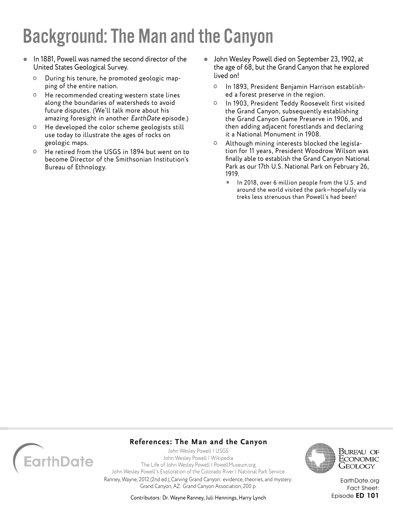- In 1881, Powell was named the second director of the United States Geological Survey.
	- During his tenure, he promoted geologic mapping of the entire nation.
	- <sup>o</sup> He recommended creating western state lines along the boundaries of watersheds to avoid future disputes. (We'll talk more about his amazing foresight in another EarthDate episode.)
	- <sup>o</sup> He developed the color scheme geologists still use today to illustrate the ages of rocks on geologic maps.
	- He retired from the USGS in 1894 but went on to become Director of the Smithsonian Institution's Bureau of Ethnology.
- John Wesley Powell died on September 23, 1902, at the age of 68, but the Grand Canyon that he explored lived on!
	- In 1893, President Benjamin Harrison established a forest preserve in the region.
	- In 1903, President Teddy Roosevelt first visited the Grand Canyon, subsequently establishing the Grand Canyon Game Preserve in 1906, and then adding adjacent forestlands and declaring it a National Monument in 1908.
	- Although mining interests blocked the legislation for 11 years, President Woodrow Wilson was finally able to establish the Grand Canyon National Park as our 17th U.S. National Park on February 26, 1919.
		- In 2018, over 6 million people from the U.S. and around the world visited the park—hopefully via treks less strenuous than Powell's had been!



### **References: The Man and the Canyon**

[John Wesley Powell | USGS](https://www.usgs.gov/staff-profiles/john-wesley-powell) [John Wesley Powell | Wikipedia](https://en.wikipedia.org/wiki/John_Wesley_Powell) [The Life of John Wesley Powell | PowellMuseum.org](http://www.powellmuseum.org/museum_powell.php) [John Wesley Powell's Exploration of the Colorado River | National Park Service](https://www.nps.gov/parkhistory/online_books/geology/publications/inf/powell/index.htm) Ranney, Wayne, 2012 (2nd ed.), Carving Grand Canyon: evidence, theories, and mystery: Grand Canyon, AZ: Grand Canyon Association, 200 p.



Bureau of Economic Geology

[EarthDate.org](http://www.earthdate.org) Fact Sheet: Episode ED 101